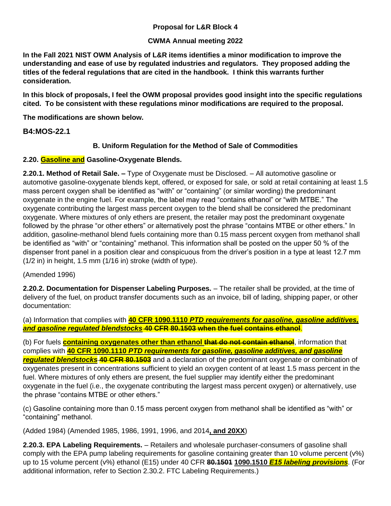## **Proposal for L&R Block 4**

### **CWMA Annual meeting 2022**

**In the Fall 2021 NIST OWM Analysis of L&R items identifies a minor modification to improve the understanding and ease of use by regulated industries and regulators. They proposed adding the titles of the federal regulations that are cited in the handbook. I think this warrants further consideration.** 

**In this block of proposals, I feel the OWM proposal provides good insight into the specific regulations cited. To be consistent with these regulations minor modifications are required to the proposal.**

**The modifications are shown below.**

## **B4:MOS-22.1**

### **B. Uniform Regulation for the Method of Sale of Commodities**

### **2.20. Gasoline and Gasoline-Oxygenate Blends.**

**2.20.1. Method of Retail Sale. –** Type of Oxygenate must be Disclosed. – All automotive gasoline or automotive gasoline-oxygenate blends kept, offered, or exposed for sale, or sold at retail containing at least 1.5 mass percent oxygen shall be identified as "with" or "containing" (or similar wording) the predominant oxygenate in the engine fuel. For example, the label may read "contains ethanol" or "with MTBE." The oxygenate contributing the largest mass percent oxygen to the blend shall be considered the predominant oxygenate. Where mixtures of only ethers are present, the retailer may post the predominant oxygenate followed by the phrase "or other ethers" or alternatively post the phrase "contains MTBE or other ethers." In addition, gasoline-methanol blend fuels containing more than 0.15 mass percent oxygen from methanol shall be identified as "with" or "containing" methanol. This information shall be posted on the upper 50 % of the dispenser front panel in a position clear and conspicuous from the driver's position in a type at least 12.7 mm (1/2 in) in height, 1.5 mm (1/16 in) stroke (width of type).

(Amended 1996)

**2.20.2. Documentation for Dispenser Labeling Purposes.** – The retailer shall be provided, at the time of delivery of the fuel, on product transfer documents such as an invoice, bill of lading, shipping paper, or other documentation:

(a) Information that complies with **40 CFR 1090.1110** *PTD requirements for gasoline, gasoline additives, and gasoline regulated blendstocks* **40 CFR 80.1503 when the fuel contains ethanol**.

(b) For fuels **containing oxygenates other than ethanol that do not contain ethanol**, information that complies with **40 CFR 1090.1110** *PTD requirements for gasoline, gasoline additives, and gasoline regulated blendstocks* **40 CFR 80.1503** and a declaration of the predominant oxygenate or combination of oxygenates present in concentrations sufficient to yield an oxygen content of at least 1.5 mass percent in the fuel. Where mixtures of only ethers are present, the fuel supplier may identify either the predominant oxygenate in the fuel (i.e., the oxygenate contributing the largest mass percent oxygen) or alternatively, use the phrase "contains MTBE or other ethers."

(c) Gasoline containing more than 0.15 mass percent oxygen from methanol shall be identified as "with" or "containing" methanol.

(Added 1984) (Amended 1985, 1986, 1991, 1996, and 2014**, and 20XX**)

**2.20.3. EPA Labeling Requirements.** – Retailers and wholesale purchaser-consumers of gasoline shall comply with the EPA pump labeling requirements for gasoline containing greater than 10 volume percent (v%) up to 15 volume percent (v%) ethanol (E15) under 40 CFR **80.1501 1090.1510** *E15 labeling provisions*. (For additional information, refer to Section 2.30.2. FTC Labeling Requirements.)